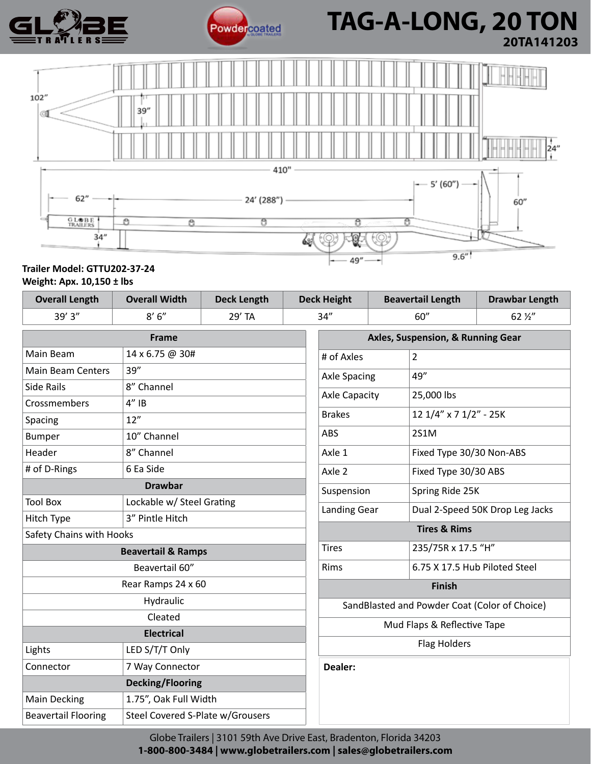



# **Powdercoated TAG-A-LONG, 20 TON 20TA141203**



# **Trailer Model: GTTU202-37-24 Weight: Apx. 10,150 ± lbs**

| <b>Overall Length</b>            | <b>Overall Width</b>             | <b>Deck Length</b> | <b>Deck Height</b> |                                               | <b>Beavertail Length</b> |                                 | <b>Drawbar Length</b> |
|----------------------------------|----------------------------------|--------------------|--------------------|-----------------------------------------------|--------------------------|---------------------------------|-----------------------|
| 39'3''                           | 8'6''                            | 29' TA             | 34''               |                                               | 60''                     |                                 | 62 1/2"               |
| <b>Frame</b>                     |                                  |                    |                    | Axles, Suspension, & Running Gear             |                          |                                 |                       |
| Main Beam                        | 14 x 6.75 @ 30#                  |                    |                    | # of Axles<br>2                               |                          |                                 |                       |
| 39''<br><b>Main Beam Centers</b> |                                  |                    |                    | 49"<br><b>Axle Spacing</b>                    |                          |                                 |                       |
| <b>Side Rails</b>                | 8" Channel                       |                    |                    | <b>Axle Capacity</b><br>25,000 lbs            |                          |                                 |                       |
| Crossmembers                     | $4''$ IB                         |                    |                    |                                               |                          |                                 |                       |
| Spacing                          | 12"                              |                    |                    | <b>Brakes</b>                                 |                          | 12 1/4" x 7 1/2" - 25K          |                       |
| <b>Bumper</b>                    | 10" Channel                      |                    |                    | ABS                                           |                          | 2S1M                            |                       |
| Header                           | 8" Channel                       |                    |                    | Axle 1                                        |                          | Fixed Type 30/30 Non-ABS        |                       |
| # of D-Rings                     | 6 Ea Side                        |                    |                    | Axle 2                                        |                          | Fixed Type 30/30 ABS            |                       |
| <b>Drawbar</b>                   |                                  |                    |                    | Suspension                                    |                          | Spring Ride 25K                 |                       |
| <b>Tool Box</b>                  | Lockable w/ Steel Grating        |                    |                    | <b>Landing Gear</b>                           |                          | Dual 2-Speed 50K Drop Leg Jacks |                       |
| Hitch Type                       | 3" Pintle Hitch                  |                    |                    |                                               |                          |                                 |                       |
| Safety Chains with Hooks         |                                  |                    |                    | <b>Tires &amp; Rims</b>                       |                          |                                 |                       |
| <b>Beavertail &amp; Ramps</b>    |                                  |                    |                    | <b>Tires</b>                                  |                          | 235/75R x 17.5 "H"              |                       |
| Beavertail 60"                   |                                  |                    |                    | Rims                                          |                          | 6.75 X 17.5 Hub Piloted Steel   |                       |
| Rear Ramps 24 x 60               |                                  |                    |                    | <b>Finish</b>                                 |                          |                                 |                       |
| Hydraulic                        |                                  |                    |                    | SandBlasted and Powder Coat (Color of Choice) |                          |                                 |                       |
| Cleated                          |                                  |                    |                    | Mud Flaps & Reflective Tape                   |                          |                                 |                       |
| <b>Electrical</b>                |                                  |                    |                    |                                               |                          |                                 |                       |
| Lights                           | LED S/T/T Only                   |                    |                    |                                               |                          | <b>Flag Holders</b>             |                       |
| Connector                        | 7 Way Connector                  |                    |                    | Dealer:                                       |                          |                                 |                       |
|                                  | <b>Decking/Flooring</b>          |                    |                    |                                               |                          |                                 |                       |
| <b>Main Decking</b>              | 1.75", Oak Full Width            |                    |                    |                                               |                          |                                 |                       |
| <b>Beavertail Flooring</b>       | Steel Covered S-Plate w/Grousers |                    |                    |                                               |                          |                                 |                       |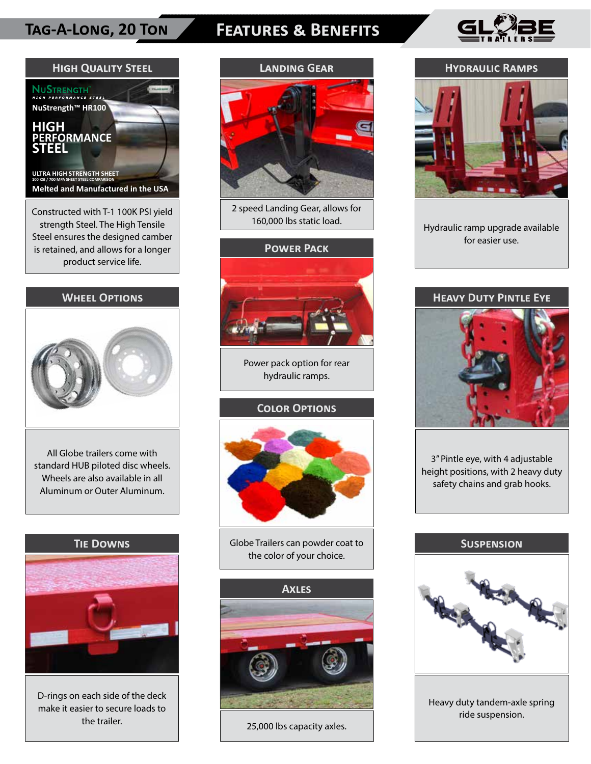# **Tag-A-Long, 20 Ton Features & Benefits**





# **Wheel Options**



All Globe trailers come with standard HUB piloted disc wheels. Wheels are also available in all Aluminum or Outer Aluminum.

# **Tie Downs**



D-rings on each side of the deck make it easier to secure loads to the trailer.



2 speed Landing Gear, allows for 160,000 lbs static load.

# **Power Pack**



Power pack option for rear hydraulic ramps.

# **Color Options**



Globe Trailers can powder coat to the color of your choice.



25,000 lbs capacity axles.

### **Hydraulic Ramps**



Hydraulic ramp upgrade available for easier use.

# **Heavy Duty Pintle Eye**



3" Pintle eye, with 4 adjustable height positions, with 2 heavy duty safety chains and grab hooks.

### **Suspension**



Heavy duty tandem-axle spring ride suspension.